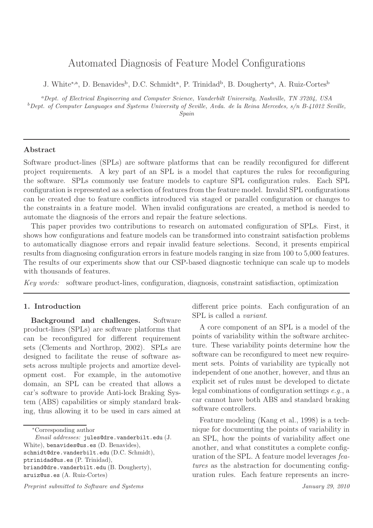# Automated Diagnosis of Feature Model Configurations

J. White<sup>\*,a</sup>, D. Benavides<sup>b</sup>, D.C. Schmidt<sup>a</sup>, P. Trinidad<sup>b</sup>, B. Dougherty<sup>a</sup>, A. Ruiz-Cortes<sup>b</sup>

<sup>a</sup>*Dept. of Electrical Engineering and Computer Science, Vanderbilt University, Nashville, TN 37204, USA* <sup>b</sup>*Dept. of Computer Languages and Systems University of Seville, Avda. de la Reina Mercedes, s/n B-41012 Seville,*

*Spain*

## Abstract

Software product-lines (SPLs) are software platforms that can be readily reconfigured for different project requirements. A key part of an SPL is a model that captures the rules for reconfiguring the software. SPLs commonly use feature models to capture SPL configuration rules. Each SPL configuration is represented as a selection of features from the feature model. Invalid SPL configurations can be created due to feature conflicts introduced via staged or parallel configuration or changes to the constraints in a feature model. When invalid configurations are created, a method is needed to automate the diagnosis of the errors and repair the feature selections.

This paper provides two contributions to research on automated configuration of SPLs. First, it shows how configurations and feature models can be transformed into constraint satisfaction problems to automatically diagnose errors and repair invalid feature selections. Second, it presents empirical results from diagnosing configuration errors in feature models ranging in size from 100 to 5,000 features. The results of our experiments show that our CSP-based diagnostic technique can scale up to models with thousands of features.

*Key words:* software product-lines, configuration, diagnosis, constraint satisfiaction, optimization

## 1. Introduction

Background and challenges. Software product-lines (SPLs) are software platforms that can be reconfigured for different requirement sets (Clements and Northrop, 2002). SPLs are designed to facilitate the reuse of software assets across multiple projects and amortize development cost. For example, in the automotive domain, an SPL can be created that allows a car's software to provide Anti-lock Braking System (ABS) capabilities or simply standard braking, thus allowing it to be used in cars aimed at

*Preprint submitted to Software and Systems January 29, 2010*

different price points. Each configuration of an SPL is called a *variant*.

A core component of an SPL is a model of the points of variability within the software architecture. These variability points determine how the software can be reconfigured to meet new requirement sets. Points of variability are typically not independent of one another, however, and thus an explicit set of rules must be developed to dictate legal combinations of configuration settings *e.g.*, a car cannot have both ABS and standard braking software controllers.

Feature modeling (Kang et al., 1998) is a technique for documenting the points of variability in an SPL, how the points of variability affect one another, and what constitutes a complete configuration of the SPL. A feature model leverages *features* as the abstraction for documenting configuration rules. Each feature represents an incre-

<sup>∗</sup>Corresponding author

*Email addresses:* jules@dre.vanderbilt.edu (J. White), benavides@us.es (D. Benavides), schmidt@dre.vanderbilt.edu (D.C. Schmidt), ptrinidad@us.es (P. Trinidad), briand@dre.vanderbilt.edu (B. Dougherty), aruiz@us.es (A. Ruiz-Cortes)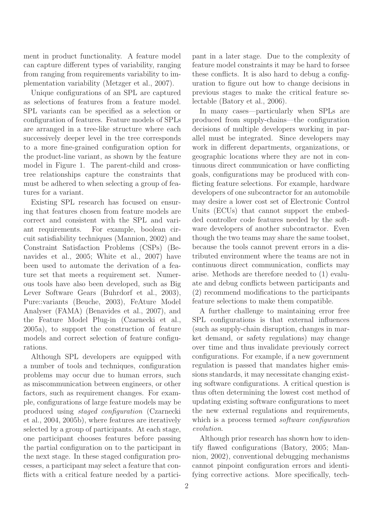ment in product functionality. A feature model can capture different types of variability, ranging from ranging from requirements variability to implementation variability (Metzger et al., 2007).

Unique configurations of an SPL are captured as selections of features from a feature model. SPL variants can be specified as a selection or configuration of features. Feature models of SPLs are arranged in a tree-like structure where each successively deeper level in the tree corresponds to a more fine-grained configuration option for the product-line variant, as shown by the feature model in Figure 1. The parent-child and crosstree relationships capture the constraints that must be adhered to when selecting a group of features for a variant.

Existing SPL research has focused on ensuring that features chosen from feature models are correct and consistent with the SPL and variant requirements. For example, boolean circuit satisfiability techniques (Mannion, 2002) and Constraint Satisfaction Problems (CSPs) (Benavides et al., 2005; White et al., 2007) have been used to automate the derivation of a feature set that meets a requirement set. Numerous tools have also been developed, such as Big Lever Software Gears (Buhrdorf et al., 2003), Pure::variants (Beuche, 2003), FeAture Model Analyser (FAMA) (Benavides et al., 2007), and the Feature Model Plug-in (Czarnecki et al., 2005a), to support the construction of feature models and correct selection of feature configurations.

Although SPL developers are equipped with a number of tools and techniques, configuration problems may occur due to human errors, such as miscommunication between engineers, or other factors, such as requirement changes. For example, configurations of large feature models may be produced using *staged configuration* (Czarnecki et al., 2004, 2005b), where features are iteratively selected by a group of participants. At each stage, one participant chooses features before passing the partial configuration on to the participant in the next stage. In these staged configuration processes, a participant may select a feature that conflicts with a critical feature needed by a participant in a later stage. Due to the complexity of feature model constraints it may be hard to forsee these conflicts. It is also hard to debug a configuration to figure out how to change decisions in previous stages to make the critical feature selectable (Batory et al., 2006).

In many cases—particularly when SPLs are produced from supply-chains—the configuration decisions of multiple developers working in parallel must be integrated. Since developers may work in different departments, organizations, or geographic locations where they are not in continuous direct communication or have conflicting goals, configurations may be produced with conflicting feature selections. For example, hardware developers of one subcontractor for an automobile may desire a lower cost set of Electronic Control Units (ECUs) that cannot support the embedded controller code features needed by the software developers of another subcontractor. Even though the two teams may share the same toolset, because the tools cannot prevent errors in a distributed environment where the teams are not in continuous direct communication, conflicts may arise. Methods are therefore needed to (1) evaluate and debug conflicts between participants and (2) recommend modifications to the participants feature selections to make them compatible.

A further challenge to maintaining error free SPL configurations is that external influences (such as supply-chain disruption, changes in market demand, or safety regulations) may change over time and thus invalidate previously correct configurations. For example, if a new government regulation is passed that mandates higher emissions standards, it may necessitate changing existing software configurations. A critical question is thus often determining the lowest cost method of updating existing software configurations to meet the new external regulations and requirements, which is a process termed *software configuration evolution*.

Although prior research has shown how to identify flawed configurations (Batory, 2005; Mannion, 2002), conventional debugging mechanisms cannot pinpoint configuration errors and identifying corrective actions. More specifically, tech-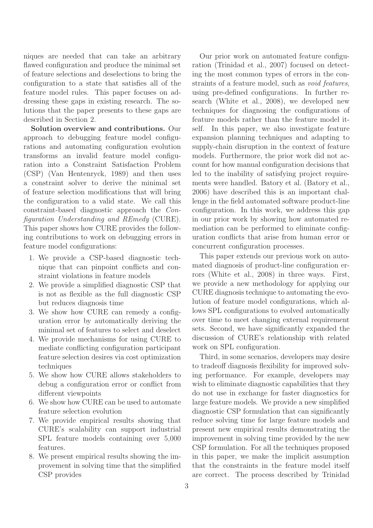niques are needed that can take an arbitrary flawed configuration and produce the minimal set of feature selections and deselections to bring the configuration to a state that satisfies all of the feature model rules. This paper focuses on addressing these gaps in existing research. The solutions that the paper presents to these gaps are described in Section 2.

Solution overview and contributions. Our approach to debugging feature model configurations and automating configuration evolution transforms an invalid feature model configuration into a Constraint Satisfaction Problem (CSP) (Van Hentenryck, 1989) and then uses a constraint solver to derive the minimal set of feature selection modifications that will bring the configuration to a valid state. We call this constraint-based diagnostic approach the *Configuration Understanding and REmedy* (CURE). This paper shows how CURE provides the following contributions to work on debugging errors in feature model configurations:

- 1. We provide a CSP-based diagnostic technique that can pinpoint conflicts and constraint violations in feature models
- 2. We provide a simplified diagnostic CSP that is not as flexible as the full diagnostic CSP but reduces diagnosis time
- 3. We show how CURE can remedy a configuration error by automatically deriving the minimal set of features to select and deselect
- 4. We provide mechanisms for using CURE to mediate conflicting configuration participant feature selection desires via cost optimization techniques
- 5. We show how CURE allows stakeholders to debug a configuration error or conflict from different viewpoints
- 6. We show how CURE can be used to automate feature selection evolution
- 7. We provide empirical results showing that CURE's scalability can support industrial SPL feature models containing over 5,000 features.
- 8. We present empirical results showing the improvement in solving time that the simplified CSP provides

Our prior work on automated feature configuration (Trinidad et al., 2007) focused on detecting the most common types of errors in the constraints of a feature model, such as *void features*, using pre-defined configurations. In further research (White et al., 2008), we developed new techniques for diagnosing the configurations of feature models rather than the feature model itself. In this paper, we also investigate feature expansion planning techniques and adapting to supply-chain disruption in the context of feature models. Furthermore, the prior work did not account for how manual configuration decisions that led to the inability of satisfying project requirements were handled. Batory et al. (Batory et al., 2006) have described this is an important challenge in the field automated software product-line configuration. In this work, we address this gap in our prior work by showing how automated remediation can be performed to eliminate configuration conflicts that arise from human error or concurrent configuration processes.

This paper extends our previous work on automated diagnosis of product-line configuration errors (White et al., 2008) in three ways. First, we provide a new methodology for applying our CURE diagnosis technique to automating the evolution of feature model configurations, which allows SPL configurations to evolved automatically over time to meet changing external requirement sets. Second, we have significantly expanded the discussion of CURE's relationship with related work on SPL configuration.

Third, in some scenarios, developers may desire to tradeoff diagnosis flexibility for improved solving performance. For example, developers may wish to eliminate diagnostic capabilities that they do not use in exchange for faster diagnostics for large feature models. We provide a new simplified diagnostic CSP formulation that can significantly reduce solving time for large feature models and present new empirical results demonstrating the improvement in solving time provided by the new CSP formulation. For all the techniques proposed in this paper, we make the implicit assumption that the constraints in the feature model itself are correct. The process described by Trinidad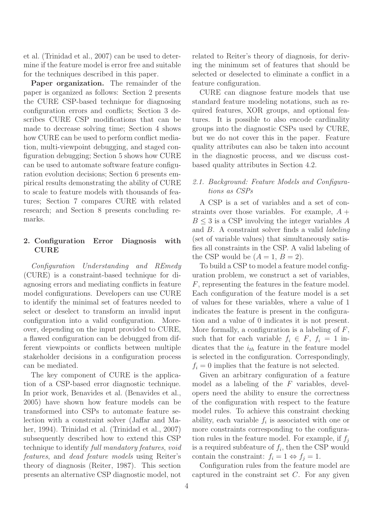et al. (Trinidad et al., 2007) can be used to determine if the feature model is error free and suitable for the techniques described in this paper.

Paper organization. The remainder of the paper is organized as follows: Section 2 presents the CURE CSP-based technique for diagnosing configuration errors and conflicts; Section 3 describes CURE CSP modifications that can be made to decrease solving time; Section 4 shows how CURE can be used to perform conflict mediation, multi-viewpoint debugging, and staged configuration debugging; Section 5 shows how CURE can be used to automate software feature configuration evolution decisions; Section 6 presents empirical results demonstrating the ability of CURE to scale to feature models with thousands of features; Section 7 compares CURE with related research; and Section 8 presents concluding remarks.

## 2. Configuration Error Diagnosis with CURE

*Configuration Understanding and REmedy* (CURE) is a constraint-based technique for diagnosing errors and mediating conflicts in feature model configurations. Developers can use CURE to identify the minimal set of features needed to select or deselect to transform an invalid input configuration into a valid configuration. Moreover, depending on the input provided to CURE, a flawed configuration can be debugged from different viewpoints or conflicts between multiple stakeholder decisions in a configuration process can be mediated.

The key component of CURE is the application of a CSP-based error diagnostic technique. In prior work, Benavides et al. (Benavides et al., 2005) have shown how feature models can be transformed into CSPs to automate feature selection with a constraint solver (Jaffar and Maher, 1994). Trinidad et al. (Trinidad et al., 2007) subsequently described how to extend this CSP technique to identify *full mandatory features*, *void features*, and *dead feature models* using Reiter's theory of diagnosis (Reiter, 1987). This section presents an alternative CSP diagnostic model, not

related to Reiter's theory of diagnosis, for deriving the minimum set of features that should be selected or deselected to eliminate a conflict in a feature configuration.

CURE can diagnose feature models that use standard feature modeling notations, such as required features, XOR groups, and optional features. It is possible to also encode cardinality groups into the diagnostic CSPs used by CURE, but we do not cover this in the paper. Feature quality attributes can also be taken into account in the diagnostic process, and we discuss costbased quality attributes in Section 4.2.

## *2.1. Background: Feature Models and Configurations as CSPs*

A CSP is a set of variables and a set of constraints over those variables. For example,  $A +$  $B \leq 3$  is a CSP involving the integer variables A and B. A constraint solver finds a valid *labeling* (set of variable values) that simultaneously satisfies all constraints in the CSP. A valid labeling of the CSP would be  $(A = 1, B = 2)$ .

To build a CSP to model a feature model configuration problem, we construct a set of variables, F, representing the features in the feature model. Each configuration of the feature model is a set of values for these variables, where a value of 1 indicates the feature is present in the configuration and a value of 0 indicates it is not present. More formally, a configuration is a labeling of  $F$ , such that for each variable  $f_i \in F$ ,  $f_i = 1$  indicates that the  $i_{th}$  feature in the feature model is selected in the configuration. Correspondingly,  $f_i = 0$  implies that the feature is not selected.

Given an arbitrary configuration of a feature model as a labeling of the  $F$  variables, developers need the ability to ensure the correctness of the configuration with respect to the feature model rules. To achieve this constraint checking ability, each variable  $f_i$  is associated with one or more constraints corresponding to the configuration rules in the feature model. For example, if  $f_i$ is a required subfeature of  $f_i$ , then the CSP would contain the constraint:  $f_i = 1 \Leftrightarrow f_j = 1$ .

Configuration rules from the feature model are captured in the constraint set  $C$ . For any given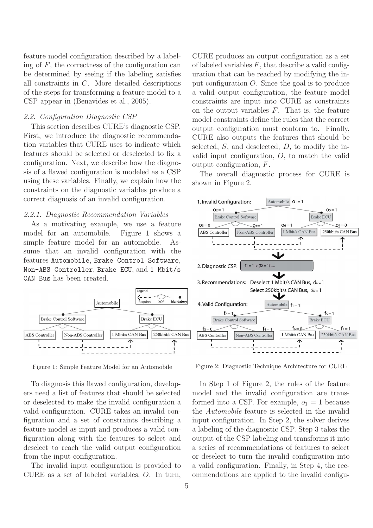feature model configuration described by a labeling of  $F$ , the correctness of the configuration can be determined by seeing if the labeling satisfies all constraints in C. More detailed descriptions of the steps for transforming a feature model to a CSP appear in (Benavides et al., 2005).

## *2.2. Configuration Diagnostic CSP*

This section describes CURE's diagnostic CSP. First, we introduce the diagnostic recommendation variables that CURE uses to indicate which features should be selected or deselected to fix a configuration. Next, we describe how the diagnosis of a flawed configuration is modeled as a CSP using these variables. Finally, we explain how the constraints on the diagnostic variables produce a correct diagnosis of an invalid configuration.

#### *2.2.1. Diagnostic Recommendation Variables*

As a motivating example, we use a feature model for an automobile. Figure 1 shows a simple feature model for an automobile. Assume that an invalid configuration with the features Automobile, Brake Control Software, Non-ABS Controller, Brake ECU, and 1 Mbit/s CAN Bus has been created.



Figure 1: Simple Feature Model for an Automobile

To diagnosis this flawed configuration, developers need a list of features that should be selected or deselected to make the invalid configuration a valid configuration. CURE takes an invalid configuration and a set of constraints describing a feature model as input and produces a valid configuration along with the features to select and deselect to reach the valid output configuration from the input configuration.

The invalid input configuration is provided to CURE as a set of labeled variables, O. In turn,

CURE produces an output configuration as a set of labeled variables  $F$ , that describe a valid configuration that can be reached by modifying the input configuration O. Since the goal is to produce a valid output configuration, the feature model constraints are input into CURE as constraints on the output variables  $F$ . That is, the feature model constraints define the rules that the correct output configuration must conform to. Finally, CURE also outputs the features that should be selected,  $S$ , and deselected,  $D$ , to modify the invalid input configuration, O, to match the valid output configuration, F.

The overall diagnostic process for CURE is shown in Figure 2.



Figure 2: Diagnostic Technique Architecture for CURE

In Step 1 of Figure 2, the rules of the feature model and the invalid configuration are transformed into a CSP. For example,  $o_1 = 1$  because the *Automobile* feature is selected in the invalid input configuration. In Step 2, the solver derives a labeling of the diagnostic CSP. Step 3 takes the output of the CSP labeling and transforms it into a series of recommendations of features to select or deselect to turn the invalid configuration into a valid configuration. Finally, in Step 4, the recommendations are applied to the invalid configu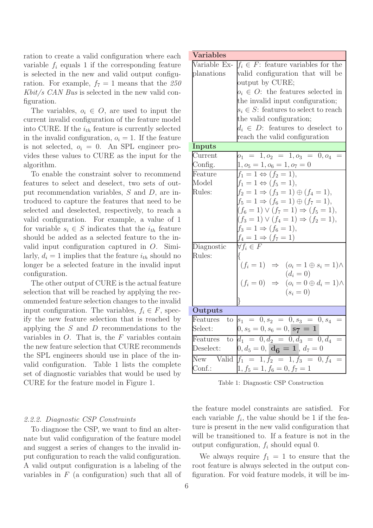ration to create a valid configuration where each variable  $f_i$  equals 1 if the corresponding feature is selected in the new and valid output configuration. For example,  $f_7 = 1$  means that the  $250$ *Kbit/s CAN Bus* is selected in the new valid configuration.

The variables,  $o_i \in O$ , are used to input the current invalid configuration of the feature model into CURE. If the  $i_{th}$  feature is currently selected in the invalid configuration,  $o_i = 1$ . If the feature is not selected,  $o_i = 0$ . An SPL engineer provides these values to CURE as the input for the algorithm.

To enable the constraint solver to recommend features to select and deselect, two sets of output recommendation variables, S and D, are introduced to capture the features that need to be selected and deselected, respectively, to reach a valid configuration. For example, a value of 1 for variable  $s_i \in S$  indicates that the  $i_{th}$  feature should be added as a selected feature to the invalid input configuration captured in O. Similarly,  $d_i = 1$  implies that the feature  $i_{th}$  should no longer be a selected feature in the invalid input configuration.

The other output of CURE is the actual feature selection that will be reached by applying the recommended feature selection changes to the invalid input configuration. The variables,  $f_i \in F$ , specify the new feature selection that is reached by applying the  $S$  and  $D$  recommendations to the variables in  $O$ . That is, the  $F$  variables contain the new feature selection that CURE recommends the SPL engineers should use in place of the invalid configuration. Table 1 lists the complete set of diagnostic variables that would be used by CURE for the feature model in Figure 1.

### *2.2.2. Diagnostic CSP Constraints*

To diagnose the CSP, we want to find an alternate but valid configuration of the feature model and suggest a series of changes to the invalid input configuration to reach the valid configuration. A valid output configuration is a labeling of the variables in  $F$  (a configuration) such that all of

| <b>Variables</b>                   |                                                                                                                                                                                                                                                                                                |
|------------------------------------|------------------------------------------------------------------------------------------------------------------------------------------------------------------------------------------------------------------------------------------------------------------------------------------------|
| Variable Ex-<br>planations         | $f_i \in F$ : feature variables for the<br>valid configuration that will be<br>output by CURE;<br>$o_i \in O$ : the features selected in<br>the invalid input configuration;<br>$s_i \in S$ : features to select to reach<br>the valid configuration;<br>$d_i \in D$ : features to deselect to |
|                                    | reach the valid configuration                                                                                                                                                                                                                                                                  |
| <b>Inputs</b>                      |                                                                                                                                                                                                                                                                                                |
| Current<br>Config.                 | $o_1 = 1, o_2 = 1, o_3 = 0, o_4$<br>$\!\!\!=\!\!\!$<br>$1, o_5 = 1, o_6 = \underline{1}, o_7 = 0$                                                                                                                                                                                              |
| Feature                            | $f_1 = 1 \Leftrightarrow (f_2 = 1),$                                                                                                                                                                                                                                                           |
| Model                              | $f_1 = 1 \Leftrightarrow (f_5 = 1),$                                                                                                                                                                                                                                                           |
| Rules:                             | $f_2 = 1 \Rightarrow (f_3 = 1) \oplus (f_4 = 1),$                                                                                                                                                                                                                                              |
|                                    | $f_5 = 1 \Rightarrow (f_6 = 1) \oplus (f_7 = 1),$<br>$(f_6 = 1) \vee (f_7 = 1) \Rightarrow (f_5 = 1),$<br>$(f_3 = 1) \vee (f_4 = 1) \Rightarrow (f_2 = 1),$<br>$f_3 = 1 \Rightarrow (f_6 = 1),$<br>$f_4 = 1 \Rightarrow (f_7 = 1)$                                                             |
| Diagnostic                         | $\forall f_i \in F$                                                                                                                                                                                                                                                                            |
| Rules:                             | ┦<br>$(f_i = 1) \Rightarrow (o_i = 1 \oplus s_i = 1) \wedge$<br>$(d_i = 0)$<br>$(f_i = 0) \Rightarrow (o_i = 0 \oplus d_i = 1) \wedge$<br>$(s_i = 0)$                                                                                                                                          |
| Outputs                            |                                                                                                                                                                                                                                                                                                |
| Features to<br>Select:             | $s_1 = 0, s_2 = 0, s_3 = 0, s_4$<br>$=$<br>$0, s_5 = 0, s_6 = 0, s_7 = 1$                                                                                                                                                                                                                      |
| Features<br>$\rm{to}$<br>Deselect: | $d_1 = 0, d_2 = 0, d_3 = 0, d_4$<br>$=$<br>$[0, d_5 = 0, \, \mathbf{d_6} = 1, d_7 = 0]$                                                                                                                                                                                                        |
| New Valid<br>$Conf.$ :             | $f_1 = 1, f_2 = 1, f_3 = 0, f_4$<br>$=$<br>$1, f_5 = 1, f_6 = 0, f_7 = 1$                                                                                                                                                                                                                      |

Table 1: Diagnostic CSP Construction

the feature model constraints are satisfied. For each variable  $f_i$ , the value should be 1 if the feature is present in the new valid configuration that will be transitioned to. If a feature is not in the output configuration,  $f_i$  should equal 0.

We always require  $f_1 = 1$  to ensure that the root feature is always selected in the output configuration. For void feature models, it will be im-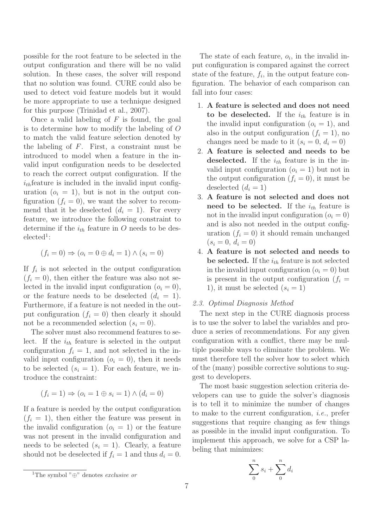possible for the root feature to be selected in the output configuration and there will be no valid solution. In these cases, the solver will respond that no solution was found. CURE could also be used to detect void feature models but it would be more appropriate to use a technique designed for this purpose (Trinidad et al., 2007).

Once a valid labeling of  $F$  is found, the goal is to determine how to modify the labeling of O to match the valid feature selection denoted by the labeling of  $F$ . First, a constraint must be introduced to model when a feature in the invalid input configuration needs to be deselected to reach the correct output configuration. If the  $i_{th}$  feature is included in the invalid input configuration  $(o_i = 1)$ , but is not in the output configuration  $(f_i = 0)$ , we want the solver to recommend that it be deselected  $(d_i = 1)$ . For every feature, we introduce the following constraint to determine if the  $i_{th}$  feature in O needs to be des $e$ lected<sup>1</sup>:

$$
(f_i = 0) \Rightarrow (o_i = 0 \oplus d_i = 1) \land (s_i = 0)
$$

If  $f_i$  is not selected in the output configuration  $(f_i = 0)$ , then either the feature was also not selected in the invalid input configuration  $(o_i = 0)$ , or the feature needs to be deselected  $(d_i = 1)$ . Furthermore, if a feature is not needed in the output configuration  $(f_i = 0)$  then clearly it should not be a recommended selection  $(s_i = 0)$ .

The solver must also recommend features to select. If the  $i_{th}$  feature is selected in the output configuration  $f_i = 1$ , and not selected in the invalid input configuration  $(o<sub>i</sub> = 0)$ , then it needs to be selected  $(s_i = 1)$ . For each feature, we introduce the constraint:

$$
(f_i = 1) \Rightarrow (o_i = 1 \oplus s_i = 1) \land (d_i = 0)
$$

If a feature is needed by the output configuration  $(f_i = 1)$ , then either the feature was present in the invalid configuration  $(o_i = 1)$  or the feature was not present in the invalid configuration and needs to be selected  $(s_i = 1)$ . Clearly, a feature should not be deselected if  $f_i = 1$  and thus  $d_i = 0$ .

The state of each feature,  $o_i$ , in the invalid input configuration is compared against the correct state of the feature,  $f_i$ , in the output feature configuration. The behavior of each comparison can fall into four cases:

- 1. A feature is selected and does not need to be deselected. If the  $i_{th}$  feature is in the invalid input configuration  $(o<sub>i</sub> = 1)$ , and also in the output configuration  $(f_i = 1)$ , no changes need be made to it  $(s_i = 0, d_i = 0)$
- 2. A feature is selected and needs to be deselected. If the  $i_{th}$  feature is in the invalid input configuration  $(o_i = 1)$  but not in the output configuration  $(f_i = 0)$ , it must be deselected  $(d_i = 1)$
- 3. A feature is not selected and does not need to be selected. If the  $i_{th}$  feature is not in the invalid input configuration  $(o_i = 0)$ and is also not needed in the output configuration  $(f_i = 0)$  it should remain unchanged  $(s_i = 0, d_i = 0)$
- 4. A feature is not selected and needs to be selected. If the  $i_{th}$  feature is not selected in the invalid input configuration  $(o<sub>i</sub> = 0)$  but is present in the output configuration  $(f_i =$ 1), it must be selected  $(s_i = 1)$

### *2.3. Optimal Diagnosis Method*

The next step in the CURE diagnosis process is to use the solver to label the variables and produce a series of recommendations. For any given configuration with a conflict, there may be multiple possible ways to eliminate the problem. We must therefore tell the solver how to select which of the (many) possible corrective solutions to suggest to developers.

The most basic suggestion selection criteria developers can use to guide the solver's diagnosis is to tell it to minimize the number of changes to make to the current configuration, *i.e.*, prefer suggestions that require changing as few things as possible in the invalid input configuration. To implement this approach, we solve for a CSP labeling that minimizes:

$$
\sum_{0}^{n} s_i + \sum_{0}^{n} d_i
$$

<sup>1</sup>The symbol "⊕" denotes *exclusive or*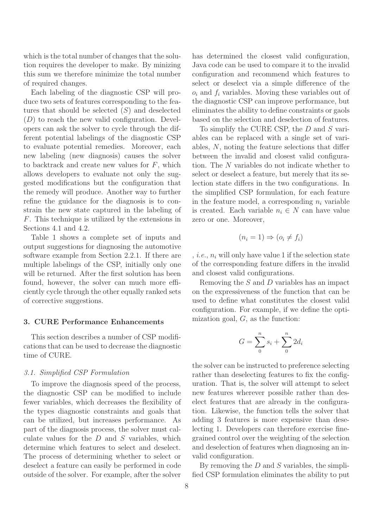which is the total number of changes that the solution requires the developer to make. By minizing this sum we therefore minimize the total number of required changes.

Each labeling of the diagnostic CSP will produce two sets of features corresponding to the features that should be selected  $(S)$  and deselected  $(D)$  to reach the new valid configuration. Developers can ask the solver to cycle through the different potential labelings of the diagnostic CSP to evaluate potential remedies. Moreover, each new labeling (new diagnosis) causes the solver to backtrack and create new values for F, which allows developers to evaluate not only the suggested modifications but the configuration that the remedy will produce. Another way to further refine the guidance for the diagnosis is to constrain the new state captured in the labeling of F. This technique is utilized by the extensions in Sections 4.1 and 4.2.

Table 1 shows a complete set of inputs and output suggestions for diagnosing the automotive software example from Section 2.2.1. If there are multiple labelings of the CSP, initially only one will be returned. After the first solution has been found, however, the solver can much more efficiently cycle through the other equally ranked sets of corrective suggestions.

#### 3. CURE Performance Enhancements

This section describes a number of CSP modifications that can be used to decrease the diagnostic time of CURE.

## *3.1. Simplified CSP Formulation*

To improve the diagnosis speed of the process, the diagnostic CSP can be modified to include fewer variables, which decreases the flexibility of the types diagnostic constraints and goals that can be utilized, but increases performance. As part of the diagnosis process, the solver must calculate values for the  $D$  and  $S$  variables, which determine which features to select and deselect. The process of determining whether to select or deselect a feature can easily be performed in code outside of the solver. For example, after the solver

has determined the closest valid configuration, Java code can be used to compare it to the invalid configuration and recommend which features to select or deselect via a simple difference of the  $o_i$  and  $f_i$  variables. Moving these variables out of the diagnostic CSP can improve performance, but eliminates the ability to define constraints or gaols based on the selection and deselection of features.

To simplify the CURE CSP, the D and S variables can be replaced with a single set of variables, N, noting the feature selections that differ between the invalid and closest valid configuration. The N variables do not indicate whether to select or deselect a feature, but merely that its selection state differs in the two configurations. In the simplified CSP formulation, for each feature in the feature model, a corresponding  $n_i$  variable is created. Each variable  $n_i \in N$  can have value zero or one. Moreover,

$$
(n_i = 1) \Rightarrow (o_i \neq f_i)
$$

, *i.e.*,  $n_i$  will only have value 1 if the selection state of the corresponding feature differs in the invalid and closest valid configurations.

Removing the S and D variables has an impact on the expressiveness of the function that can be used to define what constitutes the closest valid configuration. For example, if we define the optimization goal,  $G$ , as the function:

$$
G = \sum_{0}^{n} s_i + \sum_{0}^{n} 2d_i
$$

the solver can be instructed to preference selecting rather than deselecting features to fix the configuration. That is, the solver will attempt to select new features wherever possible rather than deselect features that are already in the configuration. Likewise, the function tells the solver that adding 3 features is more expensive than deselecting 1. Developers can therefore exercise finegrained control over the weighting of the selection and deselection of features when diagnosing an invalid configuration.

By removing the  $D$  and  $S$  variables, the simplified CSP formulation eliminates the ability to put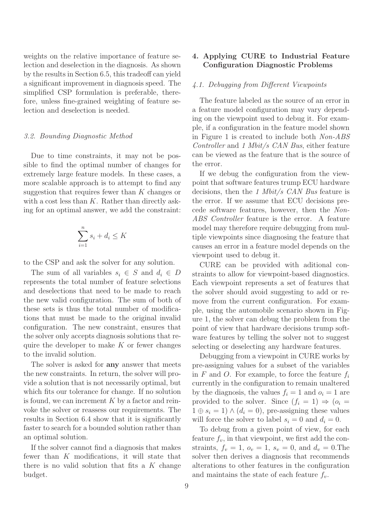weights on the relative importance of feature selection and deselection in the diagnosis. As shown by the results in Section 6.5, this tradeoff can yield a significant improvement in diagnosis speed. The simplified CSP formulation is preferable, therefore, unless fine-grained weighting of feature selection and deselection is needed.

### *3.2. Bounding Diagnostic Method*

Due to time constraints, it may not be possible to find the optimal number of changes for extremely large feature models. In these cases, a more scalable approach is to attempt to find any suggestion that requires fewer than  $K$  changes or with a cost less than  $K$ . Rather than directly asking for an optimal answer, we add the constraint:

$$
\sum_{i=1}^{n} s_i + d_i \le K
$$

to the CSP and ask the solver for any solution.

The sum of all variables  $s_i \in S$  and  $d_i \in D$ represents the total number of feature selections and deselections that need to be made to reach the new valid configuration. The sum of both of these sets is thus the total number of modifications that must be made to the original invalid configuration. The new constraint, ensures that the solver only accepts diagnosis solutions that require the developer to make  $K$  or fewer changes to the invalid solution.

The solver is asked for any answer that meets the new constraints. In return, the solver will provide a solution that is not necessarily optimal, but which fits our tolerance for change. If no solution is found, we can increment  $K$  by a factor and reinvoke the solver or reassess our requirements. The results in Section 6.4 show that it is significantly faster to search for a bounded solution rather than an optimal solution.

If the solver cannot find a diagnosis that makes fewer than K modifications, it will state that there is no valid solution that fits a  $K$  change budget.

## 4. Applying CURE to Industrial Feature Configuration Diagnostic Problems

## *4.1. Debugging from Different Viewpoints*

The feature labeled as the source of an error in a feature model configuration may vary depending on the viewpoint used to debug it. For example, if a configuration in the feature model shown in Figure 1 is created to include both *Non-ABS Controller* and *1 Mbit/s CAN Bus*, either feature can be viewed as the feature that is the source of the error.

If we debug the configuration from the viewpoint that software features trump ECU hardware decisions, then the *1 Mbit/s CAN Bus* feature is the error. If we assume that ECU decisions precede software features, however, then the *Non-ABS Controller* feature is the error. A feature model may therefore require debugging from multiple viewpoints since diagnosing the feature that causes an error in a feature model depends on the viewpoint used to debug it.

CURE can be provided with aditional constraints to allow for viewpoint-based diagnostics. Each viewpoint represents a set of features that the solver should avoid suggesting to add or remove from the current configuration. For example, using the automobile scenario shown in Figure 1, the solver can debug the problem from the point of view that hardware decisions trump software features by telling the solver not to suggest selecting or deselecting any hardware features.

Debugging from a viewpoint in CURE works by pre-assigning values for a subset of the variables in F and O. For example, to force the feature  $f_i$ currently in the configuration to remain unaltered by the diagnosis, the values  $f_i = 1$  and  $o_i = 1$  are provided to the solver. Since  $(f_i = 1) \Rightarrow (o_i =$  $1 \oplus s_i = 1$ )  $\wedge (d_i = 0)$ , pre-assigning these values will force the solver to label  $s_i = 0$  and  $d_i = 0$ .

To debug from a given point of view, for each feature  $f_v$ , in that viewpoint, we first add the constraints,  $f_v = 1$ ,  $o_v = 1$ ,  $s_v = 0$ , and  $d_v = 0$ . The solver then derives a diagnosis that recommends alterations to other features in the configuration and maintains the state of each feature  $f_v$ .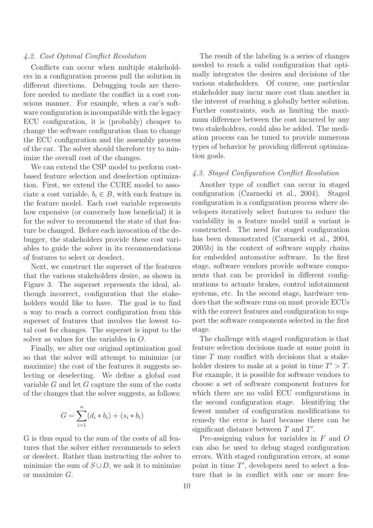## *4.2. Cost Optimal Conflict Resolution*

Conflicts can occur when multiple stakeholders in a configuration process pull the solution in different directions. Debugging tools are therefore needed to mediate the conflict in a cost conscious manner. For example, when a car's software configuration is incompatible with the legacy ECU configuration, it is (probably) cheaper to change the software configuration than to change the ECU configuration and the assembly process of the car. The solver should therefore try to minimize the overall cost of the changes.

We can extend the CSP model to perform costbased feature selection and deselection optimization. First, we extend the CURE model to associate a cost variable,  $b_i \in B$ , with each feature in the feature model. Each cost variable represents how expensive (or conversely how beneficial) it is for the solver to recommend the state of that feature be changed. Before each invocation of the debugger, the stakeholders provide these cost variables to guide the solver in its recommendations of features to select or deselect.

Next, we construct the superset of the features that the various stakeholders desire, as shown in Figure 3. The superset represents the ideal, although incorrect, configuration that the stakeholders would like to have. The goal is to find a way to reach a correct configuration from this superset of features that involves the lowest total cost for changes. The superset is input to the solver as values for the variables in O.

Finally, we alter our original optimization goal so that the solver will attempt to minimize (or maximize) the cost of the features it suggests selecting or deselecting. We define a global cost variable G and let G capture the sum of the costs of the changes that the solver suggests, as follows:

$$
G = \sum_{i=1}^{n} (d_i * b_i) + (s_i * b_i)
$$

G is thus equal to the sum of the costs of all features that the solver either recommends to select or deselect. Rather than instructing the solver to minimize the sum of  $S \cup D$ , we ask it to minimize or maximize G.

The result of the labeling is a series of changes needed to reach a valid configuration that optimally integrates the desires and decisions of the various stakeholders. Of course, one particular stakeholder may incur more cost than another in the interest of reaching a globally better solution. Further constraints, such as limiting the maximum difference between the cost incurred by any two stakeholders, could also be added. The mediation process can be tuned to provide numerous types of behavior by providing different optimization goals.

### *4.3. Staged Configuration Conflict Resolution*

Another type of conflict can occur in staged configuration (Czarnecki et al., 2004). Staged configuration is a configuration process where developers iteratively select features to reduce the variability in a feature model until a variant is constructed. The need for staged configuration has been demonstrated (Czarnecki et al., 2004, 2005b) in the context of software supply chains for embedded automotive software. In the first stage, software vendors provide software components that can be provided in different configurations to actuate brakes, control infotainment systems, etc. In the second stage, hardware vendors that the software runs on must provide ECUs with the correct features and configuration to support the software components selected in the first stage.

The challenge with staged configuration is that feature selection decisions made at some point in time  $T$  may conflict with decisions that a stakeholder desires to make at a point in time  $T' > T$ . For example, it is possible for software vendors to choose a set of software component features for which there are no valid ECU configurations in the second configuration stage. Identifying the fewest number of configuration modifications to remedy the error is hard because there can be significant distance between  $T$  and  $T'$ .

Pre-assigning values for variables in F and O can also be used to debug staged configuration errors. With staged configuration errors, at some point in time  $T'$ , developers need to select a feature that is in conflict with one or more fea-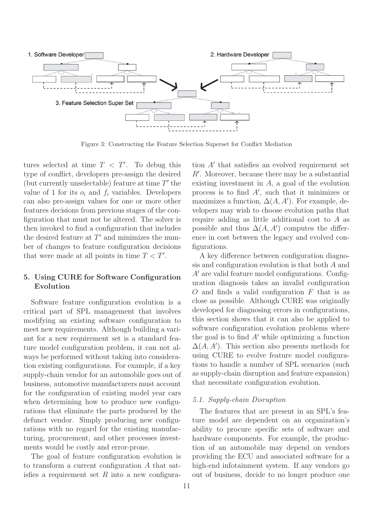

Figure 3: Constructing the Feature Selection Superset for Conflict Mediation

tures selected at time  $T < T'$ . To debug this type of conflict, developers pre-assign the desired (but currently unselectable) feature at time  $T'$  the value of 1 for its  $o_i$  and  $f_i$  variables. Developers can also pre-assign values for one or more other features decisions from previous stages of the configuration that must not be altered. The solver is then invoked to find a configuration that includes the desired feature at  $T'$  and minimizes the number of changes to feature configuration decisions that were made at all points in time  $T < T'$ .

## 5. Using CURE for Software Configuration Evolution

Software feature configuration evolution is a critical part of SPL management that involves modifying an existing software configuration to meet new requirements. Although building a variant for a new requirement set is a standard feature model configuration problem, it can not always be performed without taking into consideration existing configurations. For example, if a key supply-chain vendor for an automobile goes out of business, automotive manufacturers must account for the configuration of existing model year cars when determining how to produce new configurations that eliminate the parts produced by the defunct vendor. Simply producing new configurations with no regard for the existing manufacturing, procurement, and other processes investments would be costly and error-prone.

The goal of feature configuration evolution is to transform a current configuration A that satisfies a requirement set  $R$  into a new configura-

tion A ′ that satisfies an evolved requirement set R'. Moreover, because there may be a substantial existing investment in A, a goal of the evolution process is to find  $A'$ , such that it minimizes or maximizes a function,  $\Delta(A, A')$ . For example, developers may wish to choose evolution paths that require adding as little additional cost to A as possible and thus  $\Delta(A, A')$  computes the difference in cost between the legacy and evolved configurations.

A key difference between configuration diagnosis and configuration evolution is that both A and A′ are valid feature model configurations. Configuration diagnosis takes an invalid configuration O and finds a valid configuration  $F$  that is as close as possible. Although CURE was originally developed for diagnosing errors in configurations, this section shows that it can also be applied to software configuration evolution problems where the goal is to find  $A'$  while optimizing a function  $\Delta(A, A')$ . This section also presents methods for using CURE to evolve feature model configurations to handle a number of SPL scenarios (such as supply-chain disruption and feature expansion) that necessitate configuration evolution.

## *5.1. Supply-chain Disruption*

The features that are present in an SPL's feature model are dependent on an organization's ability to procure specific sets of software and hardware components. For example, the production of an automobile may depend on vendors providing the ECU and associated software for a high-end infotainment system. If any vendors go out of business, decide to no longer produce one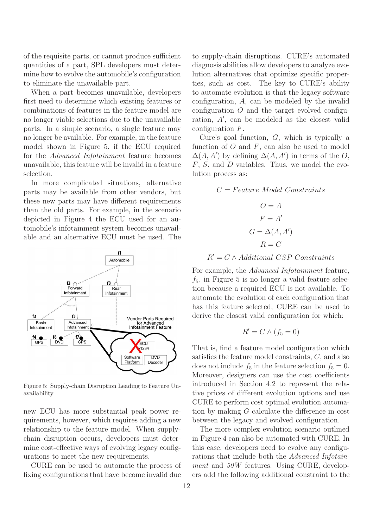of the requisite parts, or cannot produce sufficient quantities of a part, SPL developers must determine how to evolve the automobile's configuration to eliminate the unavailable part.

When a part becomes unavailable, developers first need to determine which existing features or combinations of features in the feature model are no longer viable selections due to the unavailable parts. In a simple scenario, a single feature may no longer be available. For example, in the feature model shown in Figure 5, if the ECU required for the *Advanced Infotainment* feature becomes unavailable, this feature will be invalid in a feature selection.

In more complicated situations, alternative parts may be available from other vendors, but these new parts may have different requirements than the old parts. For example, in the scenario depicted in Figure 4 the ECU used for an automobile's infotainment system becomes unavailable and an alternative ECU must be used. The



Figure 5: Supply-chain Disruption Leading to Feature Unavailability

new ECU has more substantial peak power requirements, however, which requires adding a new relationship to the feature model. When supplychain disruption occurs, developers must determine cost-effective ways of evolving legacy configurations to meet the new requirements.

CURE can be used to automate the process of fixing configurations that have become invalid due

to supply-chain disruptions. CURE's automated diagnosis abilities allow developers to analyze evolution alternatives that optimize specific properties, such as cost. The key to CURE's ability to automate evolution is that the legacy software configuration, A, can be modeled by the invalid configuration  $O$  and the target evolved configuration, A′ , can be modeled as the closest valid configuration F.

Cure's goal function, G, which is typically a function of  $O$  and  $F$ , can also be used to model  $\Delta(A, A')$  by defining  $\Delta(A, A')$  in terms of the O,  $F, S$ , and  $D$  variables. Thus, we model the evolution process as:

> $C = Feature Model Constraints$  $Q = A$  $F = A'$  $G = \Delta(A, A')$  $R = C$

$$
R' = C \wedge Additional \; CSP \; Constraints
$$

For example, the *Advanced Infotainment* feature,  $f_5$ , in Figure 5 is no longer a valid feature selection because a required ECU is not available. To automate the evolution of each configuration that has this feature selected, CURE can be used to derive the closest valid configuration for which:

$$
R' = C \wedge (f_5 = 0)
$$

That is, find a feature model configuration which satisfies the feature model constraints, C, and also does not include  $f_5$  in the feature selection  $f_5 = 0$ . Moreover, designers can use the cost coefficients introduced in Section 4.2 to represent the relative prices of different evolution options and use CURE to perform cost optimal evolution automation by making G calculate the difference in cost between the legacy and evolved configuration.

The more complex evolution scenario outlined in Figure 4 can also be automated with CURE. In this case, developers need to evolve any configurations that include both the *Advanced Infotainment* and *50W* features. Using CURE, developers add the following additional constraint to the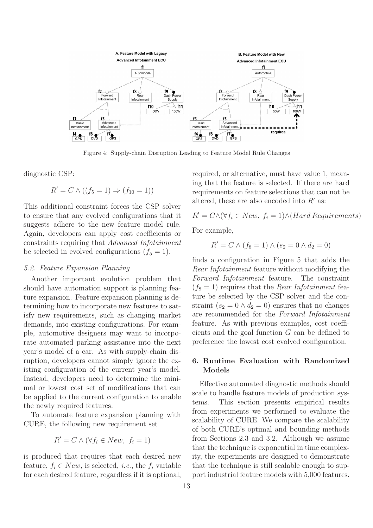

Figure 4: Supply-chain Disruption Leading to Feature Model Rule Changes

diagnostic CSP:

$$
R' = C \wedge ((f_5 = 1) \Rightarrow (f_{10} = 1))
$$

This additional constraint forces the CSP solver to ensure that any evolved configurations that it suggests adhere to the new feature model rule. Again, developers can apply cost coefficients or constraints requiring that *Advanced Infotainment* be selected in evolved configurations  $(f_5 = 1)$ .

#### *5.2. Feature Expansion Planning*

Another important evolution problem that should have automation support is planning feature expansion. Feature expansion planning is determining how to incorporate new features to satisfy new requirements, such as changing market demands, into existing configurations. For example, automotive designers may want to incorporate automated parking assistance into the next year's model of a car. As with supply-chain disruption, developers cannot simply ignore the existing configuration of the current year's model. Instead, developers need to determine the minimal or lowest cost set of modifications that can be applied to the current configuration to enable the newly required features.

To automate feature expansion planning with CURE, the following new requirement set

$$
R' = C \wedge (\forall f_i \in New, \ f_i = 1)
$$

is produced that requires that each desired new feature,  $f_i \in New$ , is selected, *i.e.*, the  $f_i$  variable for each desired feature, regardless if it is optional, required, or alternative, must have value 1, meaning that the feature is selected. If there are hard requirements on feature selections that can not be altered, these are also encoded into  $R'$  as:

$$
R' = C \land (\forall f_i \in New, \ f_i = 1) \land (Hard\ Requirements)
$$

For example,

$$
R' = C \wedge (f_8 = 1) \wedge (s_2 = 0 \wedge d_2 = 0)
$$

finds a configuration in Figure 5 that adds the *Rear Infotainment* feature without modifying the *Forward Infotainment* feature. The constraint  $(f_8 = 1)$  requires that the *Rear Infotainment* feature be selected by the CSP solver and the constraint  $(s_2 = 0 \wedge d_2 = 0)$  ensures that no changes are recommended for the *Forward Infotainment* feature. As with previous examples, cost coefficients and the goal function G can be defined to preference the lowest cost evolved configuration.

## 6. Runtime Evaluation with Randomized Models

Effective automated diagnostic methods should scale to handle feature models of production systems. This section presents empirical results from experiments we performed to evaluate the scalability of CURE. We compare the scalability of both CURE's optimal and bounding methods from Sections 2.3 and 3.2. Although we assume that the technique is exponential in time complexity, the experiments are designed to demonstrate that the technique is still scalable enough to support industrial feature models with 5,000 features.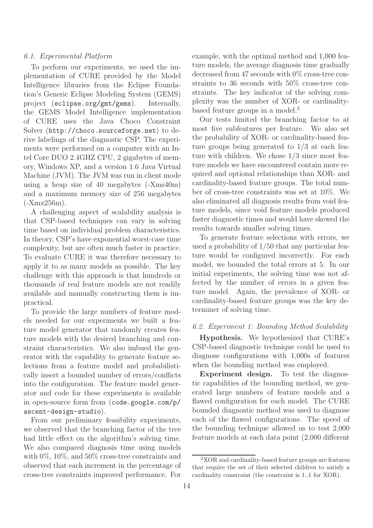## *6.1. Experimental Platform*

To perform our experiments, we used the implementation of CURE provided by the Model Intelligence libraries from the Eclipse Foundation's Generic Eclipse Modeling System (GEMS) project (eclipse.org/gmt/gems). Internally, the GEMS Model Intelligence implementation of CURE uses the Java Choco Constraint Solver (http://choco.sourceforge.net) to derive labelings of the diagnostic CSP. The experiments were performed on a computer with an Intel Core DUO 2.4GHZ CPU, 2 gigabytes of memory, Windows XP, and a version 1.6 Java Virtual Machine (JVM). The JVM was run in client mode using a heap size of 40 megabytes (-Xms40m) and a maximum memory size of 256 megabytes (-Xmx256m).

A challenging aspect of scalability analysis is that CSP-based techniques can vary in solving time based on individual problem characteristics. In theory, CSP's have exponential worst-case time complexity, but are often much faster in practice. To evaluate CURE it was therefore necessary to apply it to as many models as possible. The key challenge with this approach is that hundreds or thousands of real feature models are not readily available and manually constructing them is impractical.

To provide the large numbers of feature models needed for our experiments we built a feature model generator that randomly creates feature models with the desired branching and constraint characteristics. We also imbued the generator with the capability to generate feature selections from a feature model and probabilistically insert a bounded number of errors/conflicts into the configuration. The feature model generator and code for these experiments is available in open-source form from (code.google.com/p/ ascent-design-studio).

From our preliminary feasibility experiments, we observed that the branching factor of the tree had little effect on the algorithm's solving time. We also compared diagnosis time using models with 0%, 10%, and 50% cross-tree constraints and observed that each increment in the percentage of cross-tree constraints improved performance. For

example, with the optimal method and 1,000 feature models, the average diagnosis time gradually decreased from 47 seconds with 0% cross-tree constraints to 36 seconds with 50% cross-tree constraints. The key indicator of the solving complexity was the number of XOR- or cardinalitybased feature groups in a model.<sup>2</sup>

Our tests limited the branching factor to at most five subfeatures per feature. We also set the probability of XOR- or cardinality-based feature groups being generated to  $1/3$  at each feature with children. We chose 1/3 since most feature models we have encountered contain more required and optional relationships than XOR- and cardinality-based feature groups. The total number of cross-tree constraints was set at 10%. We also eliminated all diagnosis results from void feature models, since void feature models produced faster diagnostic times and would have skewed the results towards smaller solving times.

To generate feature selections with errors, we used a probability of 1/50 that any particular feature would be configured incorrectly. For each model, we bounded the total errors at 5. In our initial experiments, the solving time was not affected by the number of errors in a given feature model. Again, the prevalence of XOR- or cardinality-based feature groups was the key determiner of solving time.

## *6.2. Experiment 1: Bounding Method Scalability*

Hypothesis. We hypothesized that CURE's CSP-based diagnostic technique could be used to diagnose configurations with 1,000s of features when the bounding method was employed.

Experiment design. To test the diagnostic capabilities of the bounding method, we generated large numbers of feature models and a flawed configuration for each model. The CURE bounded diagnostic method was used to diagnose each of the flawed configurations. The speed of the bounding technique allowed us to test 2,000 feature models at each data point (2,000 different

<sup>2</sup>XOR and cardinality-based feature groups are features that require the set of their selected children to satisfy a cardinality constraint (the constraint is 1..1 for XOR).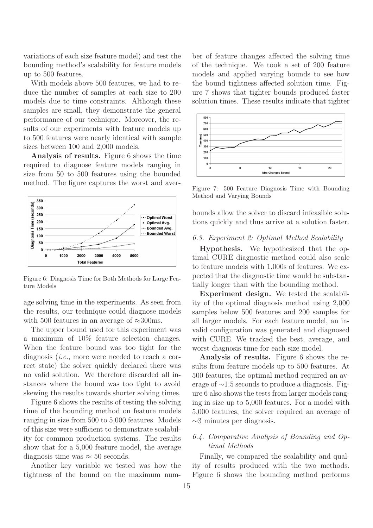variations of each size feature model) and test the bounding method's scalability for feature models up to 500 features.

With models above 500 features, we had to reduce the number of samples at each size to 200 models due to time constraints. Although these samples are small, they demonstrate the general performance of our technique. Moreover, the results of our experiments with feature models up to 500 features were nearly identical with sample sizes between 100 and 2,000 models.

Analysis of results. Figure 6 shows the time required to diagnose feature models ranging in size from 50 to 500 features using the bounded method. The figure captures the worst and aver-



Figure 6: Diagnosis Time for Both Methods for Large Feature Models

age solving time in the experiments. As seen from the results, our technique could diagnose models with 500 features in an average of  $\approx 300$ ms.

The upper bound used for this experiment was a maximum of 10% feature selection changes. When the feature bound was too tight for the diagnosis (*i.e.*, more were needed to reach a correct state) the solver quickly declared there was no valid solution. We therefore discarded all instances where the bound was too tight to avoid skewing the results towards shorter solving times.

Figure 6 shows the results of testing the solving time of the bounding method on feature models ranging in size from 500 to 5,000 features. Models of this size were sufficient to demonstrate scalability for common production systems. The results show that for a 5,000 feature model, the average diagnosis time was  $\approx 50$  seconds.

Another key variable we tested was how the tightness of the bound on the maximum number of feature changes affected the solving time of the technique. We took a set of 200 feature models and applied varying bounds to see how the bound tightness affected solution time. Figure 7 shows that tighter bounds produced faster solution times. These results indicate that tighter



Figure 7: 500 Feature Diagnosis Time with Bounding Method and Varying Bounds

bounds allow the solver to discard infeasible solutions quickly and thus arrive at a solution faster.

## *6.3. Experiment 2: Optimal Method Scalability*

Hypothesis. We hypothesized that the optimal CURE diagnostic method could also scale to feature models with 1,000s of features. We expected that the diagnostic time would be substantially longer than with the bounding method.

Experiment design. We tested the scalability of the optimal diagnosis method using 2,000 samples below 500 features and 200 samples for all larger models. For each feature model, an invalid configuration was generated and diagnosed with CURE. We tracked the best, average, and worst diagnosis time for each size model.

Analysis of results. Figure 6 shows the results from feature models up to 500 features. At 500 features, the optimal method required an average of ∼1.5 seconds to produce a diagnosis. Figure 6 also shows the tests from larger models ranging in size up to 5,000 features. For a model with 5,000 features, the solver required an average of  $\sim$ 3 minutes per diagnosis.

## *6.4. Comparative Analysis of Bounding and Optimal Methods*

Finally, we compared the scalability and quality of results produced with the two methods. Figure 6 shows the bounding method performs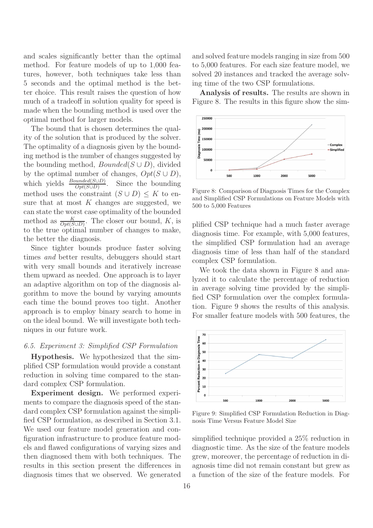and scales significantly better than the optimal method. For feature models of up to 1,000 features, however, both techniques take less than 5 seconds and the optimal method is the better choice. This result raises the question of how much of a tradeoff in solution quality for speed is made when the bounding method is used over the optimal method for larger models.

The bound that is chosen determines the quality of the solution that is produced by the solver. The optimality of a diagnosis given by the bounding method is the number of changes suggested by the bounding method,  $Bounded(S \cup D)$ , divided by the optimal number of changes,  $Opt(S \cup D)$ , which yields  $\frac{Bounded(S \cup D)}{Opt(S \cup D)}$ . Since the bounding method uses the constraint  $(S \cup D) \leq K$  to ensure that at most  $K$  changes are suggested, we can state the worst case optimality of the bounded method as  $\frac{K}{Opt(S \cup D)}$ . The closer our bound, K, is to the true optimal number of changes to make, the better the diagnosis.

Since tighter bounds produce faster solving times *and* better results, debuggers should start with very small bounds and iteratively increase them upward as needed. One approach is to layer an adaptive algorithm on top of the diagnosis algorithm to move the bound by varying amounts each time the bound proves too tight. Another approach is to employ binary search to home in on the ideal bound. We will investigate both techniques in our future work.

## *6.5. Experiment 3: Simplified CSP Formulation*

Hypothesis. We hypothesized that the simplified CSP formulation would provide a constant reduction in solving time compared to the standard complex CSP formulation.

Experiment design. We performed experiments to compare the diagnosis speed of the standard complex CSP formulation against the simplified CSP formulation, as described in Section 3.1. We used our feature model generation and configuration infrastructure to produce feature models and flawed configurations of varying sizes and then diagnosed them with both techniques. The results in this section present the differences in diagnosis times that we observed. We generated

and solved feature models ranging in size from 500 to 5,000 features. For each size feature model, we solved 20 instances and tracked the average solving time of the two CSP formulations.

Analysis of results. The results are shown in Figure 8. The results in this figure show the sim-



Figure 8: Comparison of Diagnosis Times for the Complex and Simplified CSP Formulations on Feature Models with 500 to 5,000 Features

plified CSP technique had a much faster average diagnosis time. For example, with 5,000 features, the simplified CSP formulation had an average diagnosis time of less than half of the standard complex CSP formulation.

We took the data shown in Figure 8 and analyzed it to calculate the percentage of reduction in average solving time provided by the simplified CSP formulation over the complex formulation. Figure 9 shows the results of this analysis. For smaller feature models with 500 features, the



Figure 9: Simplified CSP Formulation Reduction in Diagnosis Time Versus Feature Model Size

simplified technique provided a 25% reduction in diagnostic time. As the size of the feature models grew, moreover, the percentage of reduction in diagnosis time did not remain constant but grew as a function of the size of the feature models. For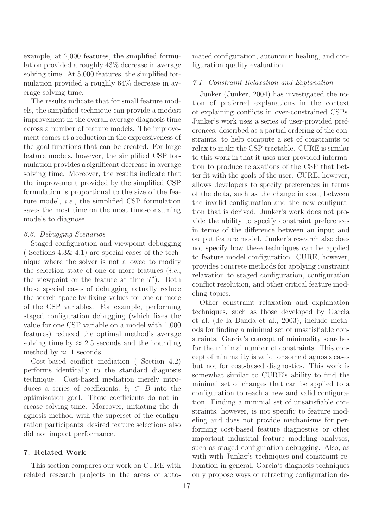example, at 2,000 features, the simplified formulation provided a roughly 43% decrease in average solving time. At 5,000 features, the simplified formulation provided a roughly 64% decrease in average solving time.

The results indicate that for small feature models, the simplified technique can provide a modest improvement in the overall average diagnosis time across a number of feature models. The improvement comes at a reduction in the expressiveness of the goal functions that can be created. For large feature models, however, the simplified CSP formulation provides a significant decrease in average solving time. Moreover, the results indicate that the improvement provided by the simplified CSP formulation is proportional to the size of the feature model, *i.e.*, the simplified CSP formulation saves the most time on the most time-consuming models to diagnose.

### *6.6. Debugging Scenarios*

Staged configuration and viewpoint debugging ( Sections 4.3& 4.1) are special cases of the technique where the solver is not allowed to modify the selection state of one or more features (*i.e.*, the viewpoint or the feature at time  $T'$ ). Both these special cases of debugging actually reduce the search space by fixing values for one or more of the CSP variables. For example, performing staged configuration debugging (which fixes the value for one CSP variable on a model with 1,000 features) reduced the optimal method's average solving time by  $\approx 2.5$  seconds and the bounding method by  $\approx .1$  seconds.

Cost-based conflict mediation ( Section 4.2) performs identically to the standard diagnosis technique. Cost-based mediation merely introduces a series of coefficients,  $b_i \subset B$  into the optimization goal. These coefficients do not increase solving time. Moreover, initiating the diagnosis method with the superset of the configuration participants' desired feature selections also did not impact performance.

## 7. Related Work

This section compares our work on CURE with related research projects in the areas of automated configuration, autonomic healing, and configuration quality evaluation.

### *7.1. Constraint Relaxation and Explanation*

Junker (Junker, 2004) has investigated the notion of preferred explanations in the context of explaining conflicts in over-constrained CSPs. Junker's work uses a series of user-provided preferences, described as a partial ordering of the constraints, to help compute a set of constraints to relax to make the CSP tractable. CURE is similar to this work in that it uses user-provided information to produce relaxations of the CSP that better fit with the goals of the user. CURE, however, allows developers to specify preferences in terms of the delta, such as the change in cost, between the invalid configuration and the new configuration that is derived. Junker's work does not provide the ability to specify constraint preferences in terms of the difference between an input and output feature model. Junker's research also does not specify how these techniques can be applied to feature model configuration. CURE, however, provides concrete methods for applying constraint relaxation to staged configuration, configuration conflict resolution, and other critical feature modeling topics.

Other constraint relaxation and explanation techniques, such as those developed by Garcia et al. (de la Banda et al., 2003), include methods for finding a minimal set of unsatisfiable constraints. Garcia's concept of minimality searches for the minimal number of constraints. This concept of minimality is valid for some diagnosis cases but not for cost-based diagnostics. This work is somewhat similar to CURE's ability to find the minimal set of changes that can be applied to a configuration to reach a new and valid configuration. Finding a minimal set of unsatisfiable constraints, however, is not specific to feature modeling and does not provide mechanisms for performing cost-based feature diagnostics or other important industrial feature modeling analyses, such as staged configuration debugging. Also, as with with Junker's techniques and constraint relaxation in general, Garcia's diagnosis techniques only propose ways of retracting configuration de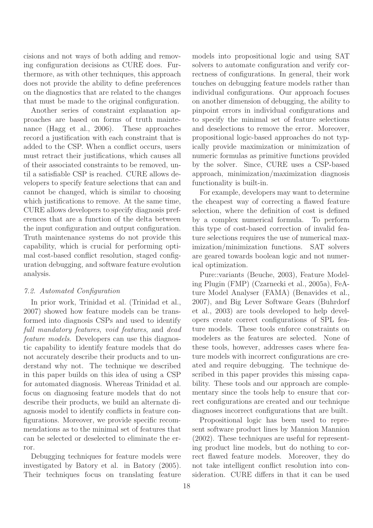cisions and not ways of both adding and removing configuration decisions as CURE does. Furthermore, as with other techniques, this approach does not provide the ability to define preferences on the diagnostics that are related to the changes that must be made to the original configuration.

Another series of constraint explanation approaches are based on forms of truth maintenance (Hagg et al., 2006). These approaches record a justification with each constraint that is added to the CSP. When a conflict occurs, users must retract their justifications, which causes all of their associated constraints to be removed, until a satisfiable CSP is reached. CURE allows developers to specify feature selections that can and cannot be changed, which is similar to choosing which justifications to remove. At the same time, CURE allows developers to specify diagnosis preferences that are a function of the delta between the input configuration and output configuration. Truth maintenance systems do not provide this capability, which is crucial for performing optimal cost-based conflict resolution, staged configuration debugging, and software feature evolution analysis.

## *7.2. Automated Configuration*

In prior work, Trinidad et al. (Trinidad et al., 2007) showed how feature models can be transformed into diagnosis CSPs and used to identify *full mandatory features*, *void features*, and *dead feature models*. Developers can use this diagnostic capability to identify feature models that do not accurately describe their products and to understand why not. The technique we described in this paper builds on this idea of using a CSP for automated diagnosis. Whereas Trinidad et al. focus on diagnosing feature models that do not describe their products, we build an alternate diagnosis model to identify conflicts in feature configurations. Moreover, we provide specific recommendations as to the minimal set of features that can be selected or deselected to eliminate the error.

Debugging techniques for feature models were investigated by Batory et al. in Batory (2005). Their techniques focus on translating feature

models into propositional logic and using SAT solvers to automate configuration and verify correctness of configurations. In general, their work touches on debugging feature models rather than individual configurations. Our approach focuses on another dimension of debugging, the ability to pinpoint errors in individual configurations and to specify the minimal set of feature selections and deselections to remove the error. Moreover, propositional logic-based approaches do not typically provide maximization or minimization of numeric formulas as primitive functions provided by the solver. Since, CURE uses a CSP-based approach, minimization/maximization diagnosis functionality is built-in.

For example, developers may want to determine the cheapest way of correcting a flawed feature selection, where the definition of cost is defined by a complex numerical formula. To perform this type of cost-based correction of invalid feature selections requires the use of numerical maximization/minimization functions. SAT solvers are geared towards boolean logic and not numerical optimization.

Pure::variants (Beuche, 2003), Feature Modeling Plugin (FMP) (Czarnecki et al., 2005a), FeAture Model Analyser (FAMA) (Benavides et al., 2007), and Big Lever Software Gears (Buhrdorf et al., 2003) are tools developed to help developers create correct configurations of SPL feature models. These tools enforce constraints on modelers as the features are selected. None of these tools, however, addresses cases where feature models with incorrect configurations are created and require debugging. The technique described in this paper provides this missing capability. These tools and our approach are complementary since the tools help to ensure that correct configurations are created and our technique diagnoses incorrect configurations that are built.

Propositional logic has been used to represent software product lines by Mannion Mannion (2002). These techniques are useful for representing product line models, but do nothing to correct flawed feature models. Moreover, they do not take intelligent conflict resolution into consideration. CURE differs in that it can be used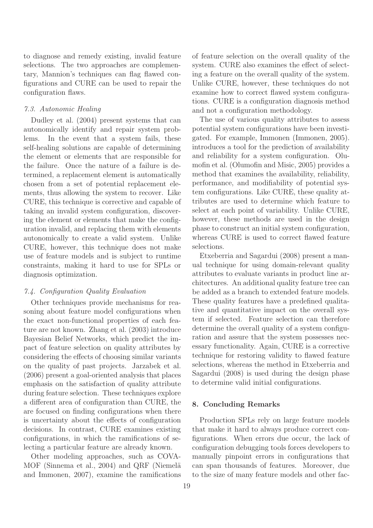to diagnose and remedy existing, invalid feature selections. The two approaches are complementary, Mannion's techniques can flag flawed configurations and CURE can be used to repair the configuration flaws.

## *7.3. Autonomic Healing*

Dudley et al. (2004) present systems that can autonomically identify and repair system problems. In the event that a system fails, these self-healing solutions are capable of determining the element or elements that are responsible for the failure. Once the nature of a failure is determined, a replacement element is automatically chosen from a set of potential replacement elements, thus allowing the system to recover. Like CURE, this technique is corrective and capable of taking an invalid system configuration, discovering the element or elements that make the configuration invalid, and replacing them with elements autonomically to create a valid system. Unlike CURE, however, this technique does not make use of feature models and is subject to runtime constraints, making it hard to use for SPLs or diagnosis optimization.

### *7.4. Configuration Quality Evaluation*

Other techniques provide mechanisms for reasoning about feature model configurations when the exact non-functional properties of each feature are not known. Zhang et al. (2003) introduce Bayesian Belief Networks, which predict the impact of feature selection on quality attributes by considering the effects of choosing similar variants on the quality of past projects. Jarzabek et al. (2006) present a goal-oriented analysis that places emphasis on the satisfaction of quality attribute during feature selection. These techniques explore a different area of configuration than CURE, the are focused on finding configurations when there is uncertainty about the effects of configuration decisions. In contrast, CURE examines existing configurations, in which the ramifications of selecting a particular feature are already known.

Other modeling approaches, such as COVA-MOF (Sinnema et al., 2004) and QRF (Niemelä and Immonen, 2007), examine the ramifications of feature selection on the overall quality of the system. CURE also examines the effect of selecting a feature on the overall quality of the system. Unlike CURE, however, these techniques do not examine how to correct flawed system configurations. CURE is a configuration diagnosis method and not a configuration methodology.

The use of various quality attributes to assess potential system configurations have been investigated. For example, Immonen (Immonen, 2005). introduces a tool for the prediction of availability and reliability for a system configuration. Olumofin et al. (Olumofin and Misic, 2005) provides a method that examines the availability, reliability, performance, and modifiability of potential system configurations. Like CURE, these quality attributes are used to determine which feature to select at each point of variability. Unlike CURE, however, these methods are used in the design phase to construct an initial system configuration, whereas CURE is used to correct flawed feature selections.

Etxeberria and Sagardui (2008) present a manual technique for using domain-relevant quality attributes to evaluate variants in product line architectures. An additional quality feature tree can be added as a branch to extended feature models. These quality features have a predefined qualitative and quantitative impact on the overall system if selected. Feature selection can therefore determine the overall quality of a system configuration and assure that the system possesses necessary functionality. Again, CURE is a corrective technique for restoring validity to flawed feature selections, whereas the method in Etxeberria and Sagardui (2008) is used during the design phase to determine valid initial configurations.

## 8. Concluding Remarks

Production SPLs rely on large feature models that make it hard to always produce correct configurations. When errors due occur, the lack of configuration debugging tools forces developers to manually pinpoint errors in configurations that can span thousands of features. Moreover, due to the size of many feature models and other fac-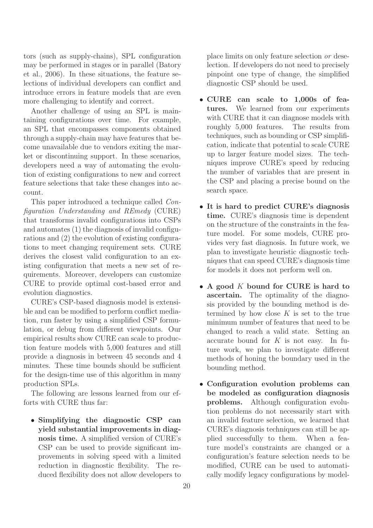tors (such as supply-chains), SPL configuration may be performed in stages or in parallel (Batory et al., 2006). In these situations, the feature selections of individual developers can conflict and introduce errors in feature models that are even more challenging to identify and correct.

Another challenge of using an SPL is maintaining configurations over time. For example, an SPL that encompasses components obtained through a supply-chain may have features that become unavailable due to vendors exiting the market or discontinuing support. In these scenarios, developers need a way of automating the evolution of existing configurations to new and correct feature selections that take these changes into account.

This paper introduced a technique called *Configuration Understanding and REmedy* (CURE) that transforms invalid configurations into CSPs and automates (1) the diagnosis of invalid configurations and (2) the evolution of existing configurations to meet changing requirement sets. CURE derives the closest valid configuration to an existing configuration that meets a new set of requirements. Moreover, developers can customize CURE to provide optimal cost-based error and evolution diagnostics.

CURE's CSP-based diagnosis model is extensible and can be modified to perform conflict mediation, run faster by using a simplified CSP formulation, or debug from different viewpoints. Our empirical results show CURE can scale to production feature models with 5,000 features and still provide a diagnosis in between 45 seconds and 4 minutes. These time bounds should be sufficient for the design-time use of this algorithm in many production SPLs.

The following are lessons learned from our efforts with CURE thus far:

• Simplifying the diagnostic CSP can yield substantial improvements in diagnosis time. A simplified version of CURE's CSP can be used to provide significant improvements in solving speed with a limited reduction in diagnostic flexibility. The reduced flexibility does not allow developers to place limits on only feature selection *or* deselection. If developers do not need to precisely pinpoint one type of change, the simplified diagnostic CSP should be used.

- CURE can scale to 1,000s of features. We learned from our experiments with CURE that it can diagnose models with roughly 5,000 features. The results from techniques, such as bounding or CSP simplification, indicate that potential to scale CURE up to larger feature model sizes. The techniques improve CURE's speed by reducing the number of variables that are present in the CSP and placing a precise bound on the search space.
- It is hard to predict CURE's diagnosis time. CURE's diagnosis time is dependent on the structure of the constraints in the feature model. For some models, CURE provides very fast diagnosis. In future work, we plan to investigate heuristic diagnostic techniques that can speed CURE's diagnosis time for models it does not perform well on.
- A good K bound for CURE is hard to ascertain. The optimality of the diagnosis provided by the bounding method is determined by how close  $K$  is set to the true minimum number of features that need to be changed to reach a valid state. Setting an accurate bound for  $K$  is not easy. In future work, we plan to investigate different methods of honing the boundary used in the bounding method.
- Configuration evolution problems can be modeled as configuration diagnosis problems. Although configuration evolution problems do not necessarily start with an invalid feature selection, we learned that CURE's diagnosis techniques can still be applied successfully to them. When a feature model's constraints are changed or a configuration's feature selection needs to be modified, CURE can be used to automatically modify legacy configurations by model-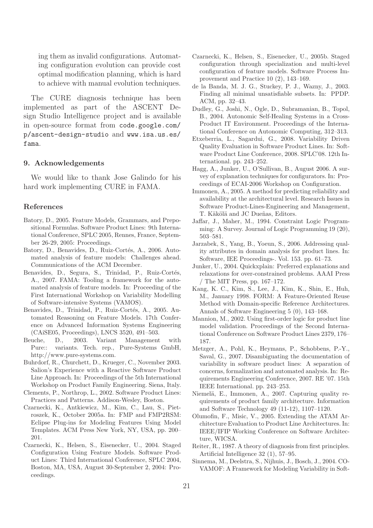ing them as invalid configurations. Automating configuration evolution can provide cost optimal modification planning, which is hard to achieve with manual evolution techniques.

The CURE diagnosis technique has been implemented as part of the ASCENT Design Studio Intelligence project and is available in open-source format from code.google.com/ p/ascent-design-studio and www.isa.us.es/ fama.

#### 9. Acknowledgements

We would like to thank Jose Galindo for his hard work implementing CURE in FAMA.

### References

- Batory, D., 2005. Feature Models, Grammars, and Prepositional Formulas. Software Product Lines: 9th International Conference, SPLC 2005, Rennes, France, September 26-29, 2005: Proceedings.
- Batory, D., Benavides, D., Ruiz-Cortés, A., 2006. Automated analysis of feature models: Challenges ahead. Communications of the ACM December.
- Benavides, D., Segura, S., Trinidad, P., Ruiz-Cortés, A., 2007. FAMA: Tooling a framework for the automated analysis of feature models. In: Proceeding of the First International Workshop on Variability Modelling of Software-intensive Systems (VAMOS).
- Benavides, D., Trinidad, P., Ruiz-Cortés, A., 2005. Automated Reasoning on Feature Models. 17th Conference on Advanced Information Systems Engineering (CAiSE05, Proceedings), LNCS 3520, 491–503.
- Beuche, D., 2003. Variant Management with Pure:: variants. Tech. rep., Pure-Systems GmbH, http://www.pure-systems.com.
- Buhrdorf, R., Churchett, D., Krueger, C., November 2003. Salion's Experience with a Reactive Software Product Line Approach. In: Proceedings of the 5th International Workshop on Product Family Engineering. Siena, Italy.
- Clements, P., Northrop, L., 2002. Software Product Lines: Practices and Patterns. Addison-Wesley, Boston.
- Czarnecki, K., Antkiewicz, M., Kim, C., Lau, S., Pietroszek, K., October 2005a. In: FMP and FMP2RSM: Eclipse Plug-ins for Modeling Features Using Model Templates. ACM Press New York, NY, USA, pp. 200– 201.
- Czarnecki, K., Helsen, S., Eisenecker, U., 2004. Staged Configuration Using Feature Models. Software Product Lines: Third International Conference, SPLC 2004, Boston, MA, USA, August 30-September 2, 2004: Proceedings.
- Czarnecki, K., Helsen, S., Eisenecker, U., 2005b. Staged configuration through specialization and multi-level configuration of feature models. Software Process Improvement and Practice 10 (2), 143–169.
- de la Banda, M. J. G., Stuckey, P. J., Wazny, J., 2003. Finding all minimal unsatisfiable subsets. In: PPDP. ACM, pp. 32–43.
- Dudley, G., Joshi, N., Ogle, D., Subramanian, B., Topol, B., 2004. Autonomic Self-Healing Systems in a Cross-Product IT Environment. Proceedings of the International Conference on Autonomic Computing, 312–313.
- Etxeberria, L., Sagardui, G., 2008. Variability Driven Quality Evaluation in Software Product Lines. In: Software Product Line Conference, 2008. SPLC'08. 12th International. pp. 243–252.
- Hagg, A., Junker, U., O'Sullivan, B., August 2006. A survey of explanation techniques for configurators. In: Proceedings of ECAI-2006 Workshop on Configuration.
- Immonen, A., 2005. A method for predicting reliability and availability at the architectural level. Research Issues in Software Product-Lines-Engineering and Management, T. Käkölä and JC Dueñas, Editors.
- Jaffar, J., Maher, M., 1994. Constraint Logic Programming: A Survey. Journal of Logic Programming 19 (20), 503–581.
- Jarzabek, S., Yang, B., Yoeun, S., 2006. Addressing quality attributes in domain analysis for product lines. In: Software, IEE Proceedings-. Vol. 153. pp. 61–73.
- Junker, U., 2004. Quickxplain: Preferred explanations and relaxations for over-constrained problems. AAAI Press / The MIT Press, pp. 167–172.
- Kang, K. C., Kim, S., Lee, J., Kim, K., Shin, E., Huh, M., January 1998. FORM: A Feature-Oriented Reuse Method with Domain-specific Reference Architectures. Annals of Software Engineering 5 (0), 143–168.
- Mannion, M., 2002. Using first-order logic for product line model validation. Proceedings of the Second International Conference on Software Product Lines 2379, 176– 187.
- Metzger, A., Pohl, K., Heymans, P., Schobbens, P.-Y., Saval, G., 2007. Disambiguating the documentation of variability in software product lines: A separation of concerns, formalization and automated analysis. In: Requirements Engineering Conference, 2007. RE '07. 15th IEEE International. pp. 243–253.
- Niemelä, E., Immonen, A., 2007. Capturing quality requirements of product family architecture. Information and Software Technology 49 (11-12), 1107–1120.
- Olumofin, F., Misic, V., 2005. Extending the ATAM Architecture Evaluation to Product Line Architectures. In: IEEE/IFIP Working Conference on Software Architecture, WICSA.
- Reiter, R., 1987. A theory of diagnosis from first principles. Artificial Intelligence 32 (1), 57–95.
- Sinnema, M., Deelstra, S., Nijhuis, J., Bosch, J., 2004. CO-VAMOF: A Framework for Modeling Variability in Soft-